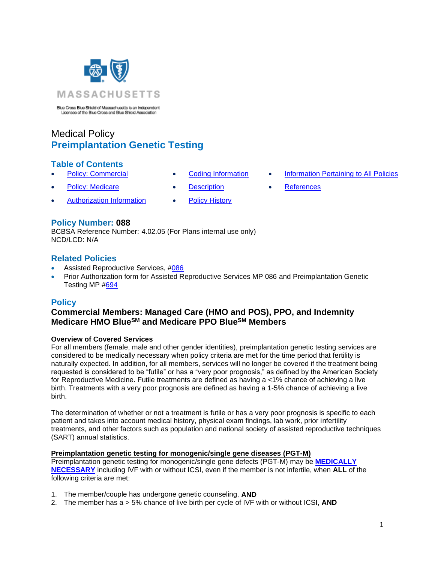

Blue Cross Blue Shield of Massachusetts is an Independent Licensee of the Blue Cross and Blue Shield Association

# Medical Policy **Preimplantation Genetic Testing**

### **Table of Contents**

- 
- 
- [Authorization Information](#page-2-2) [Policy History](#page-5-0)
- 
- **[Policy: Commercial](#page-0-0) [Coding Information](#page-2-0) [Information Pertaining to All Policies](#page-6-0)**
- **[Policy: Medicare](#page-0-0) [Description](#page-2-1) [References](#page-6-1)**

## **Policy Number: 088**

BCBSA Reference Number: 4.02.05 (For Plans internal use only) NCD/LCD: N/A

### **Related Policies**

- Assisted Reproductive Services, [#086](https://www.bluecrossma.org/medical-policies/sites/g/files/csphws2091/files/acquiadam-assets/086%20Assisted%20Reproductive%20Services%20Infertility%20Services%20prn.pdf)
- Prior Authorization form for Assisted Reproductive Services MP 086 and Preimplantation Genetic Testing MP [#694](https://www.bluecrossma.org/medical-policies/sites/g/files/csphws2091/files/acquiadam-assets/694%20Assisted%20Reproductive%20Technology%20Services%20Form%20for%20Policy%20Infertility%20Diagnosis%20and%20Treatment%20prn.pdf)

### <span id="page-0-0"></span>**Policy**

# **Commercial Members: Managed Care (HMO and POS), PPO, and Indemnity Medicare HMO BlueSM and Medicare PPO BlueSM Members**

### **Overview of Covered Services**

For all members (female, male and other gender identities), preimplantation genetic testing services are considered to be medically necessary when policy criteria are met for the time period that fertility is naturally expected. In addition, for all members, services will no longer be covered if the treatment being requested is considered to be "futile" or has a "very poor prognosis," as defined by the American Society for Reproductive Medicine. Futile treatments are defined as having a <1% chance of achieving a live birth. Treatments with a very poor prognosis are defined as having a 1-5% chance of achieving a live birth.

The determination of whether or not a treatment is futile or has a very poor prognosis is specific to each patient and takes into account medical history, physical exam findings, lab work, prior infertility treatments, and other factors such as population and national society of assisted reproductive techniques (SART) annual statistics.

### **Preimplantation genetic testing for monogenic/single gene diseases (PGT-M)**

Preimplantation genetic testing for monogenic/single gene defects (PGT-M) may be **[MEDICALLY](https://www.bluecrossma.org/medical-policies/sites/g/files/csphws2091/files/acquiadam-assets/Definition%20of%20Med%20Nec%20Inv%20Not%20Med%20Nec%20prn.pdf)  [NECESSARY](https://www.bluecrossma.org/medical-policies/sites/g/files/csphws2091/files/acquiadam-assets/Definition%20of%20Med%20Nec%20Inv%20Not%20Med%20Nec%20prn.pdf)** including IVF with or without ICSI, even if the member is not infertile, when **ALL** of the following criteria are met:

- 1. The member/couple has undergone genetic counseling, **AND**
- 2. The member has a > 5% chance of live birth per cycle of IVF with or without ICSI, **AND**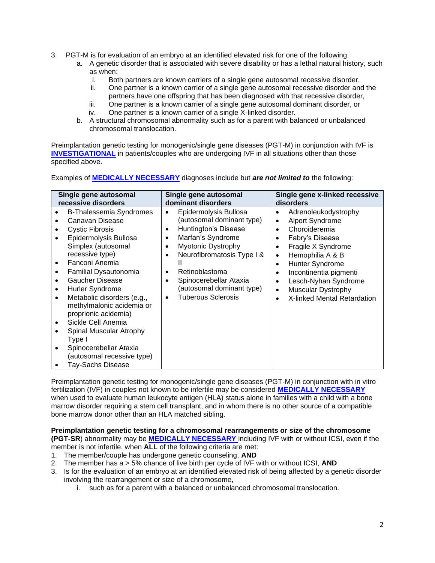- 3. PGT-M is for evaluation of an embryo at an identified elevated risk for one of the following:
	- a. A genetic disorder that is associated with severe disability or has a lethal natural history, such as when:
		- i. Both partners are known carriers of a single gene autosomal recessive disorder,
		- ii. One partner is a known carrier of a single gene autosomal recessive disorder and the partners have one offspring that has been diagnosed with that recessive disorder,
		- iii. One partner is a known carrier of a single gene autosomal dominant disorder, or
		- iv. One partner is a known carrier of a single X-linked disorder.
	- b. A structural chromosomal abnormality such as for a parent with balanced or unbalanced chromosomal translocation.

Preimplantation genetic testing for monogenic/single gene diseases (PGT-M) in conjunction with IVF is **[INVESTIGATIONAL](https://www.bluecrossma.org/medical-policies/sites/g/files/csphws2091/files/acquiadam-assets/Definition%20of%20Med%20Nec%20Inv%20Not%20Med%20Nec%20prn.pdf)** in patients/couples who are undergoing IVF in all situations other than those specified above.

Examples of **[MEDICALLY NECESSARY](https://www.bluecrossma.org/medical-policies/sites/g/files/csphws2091/files/acquiadam-assets/Definition%20of%20Med%20Nec%20Inv%20Not%20Med%20Nec%20prn.pdf)** diagnoses include but *are not limited to* the following:

| Single gene autosomal                                                                                                                                                                                                                                                                                                                                                                                                                                                                           | Single gene autosomal                                                                                                                                                                                                                                                       | Single gene x-linked recessive                                                                                                                                                                                                                                                                         |
|-------------------------------------------------------------------------------------------------------------------------------------------------------------------------------------------------------------------------------------------------------------------------------------------------------------------------------------------------------------------------------------------------------------------------------------------------------------------------------------------------|-----------------------------------------------------------------------------------------------------------------------------------------------------------------------------------------------------------------------------------------------------------------------------|--------------------------------------------------------------------------------------------------------------------------------------------------------------------------------------------------------------------------------------------------------------------------------------------------------|
| recessive disorders                                                                                                                                                                                                                                                                                                                                                                                                                                                                             | dominant disorders                                                                                                                                                                                                                                                          | disorders                                                                                                                                                                                                                                                                                              |
| <b>B-Thalessemia Syndromes</b><br>Canavan Disease<br><b>Cystic Fibrosis</b><br>Epidermolysis Bullosa<br>Simplex (autosomal<br>recessive type)<br>Fanconi Anemia<br>٠<br>Familial Dysautonomia<br><b>Gaucher Disease</b><br>Hurler Syndrome<br>$\bullet$<br>Metabolic disorders (e.g.,<br>$\bullet$<br>methylmalonic acidemia or<br>proprionic acidemia)<br>Sickle Cell Anemia<br>Spinal Muscular Atrophy<br>Type I<br>Spinocerebellar Ataxia<br>(autosomal recessive type)<br>Tay-Sachs Disease | Epidermolysis Bullosa<br>(autosomal dominant type)<br>Huntington's Disease<br>Marfan's Syndrome<br>٠<br>Myotonic Dystrophy<br>Neurofibromatosis Type I &<br>Retinoblastoma<br>Spinocerebellar Ataxia<br>(autosomal dominant type)<br><b>Tuberous Sclerosis</b><br>$\bullet$ | Adrenoleukodystrophy<br><b>Alport Syndrome</b><br>٠<br>Choroideremia<br>$\bullet$<br>Fabry's Disease<br>Fragile X Syndrome<br>Hemophilia A & B<br>٠<br>Hunter Syndrome<br>$\bullet$<br>Incontinentia pigmenti<br>Lesch-Nyhan Syndrome<br><b>Muscular Dystrophy</b><br>٠<br>X-linked Mental Retardation |

Preimplantation genetic testing for monogenic/single gene diseases (PGT-M) in conjunction with in vitro fertilization (IVF) in couples not known to be infertile may be considered **[MEDICALLY NECESSARY](https://www.bluecrossma.org/medical-policies/sites/g/files/csphws2091/files/acquiadam-assets/Definition%20of%20Med%20Nec%20Inv%20Not%20Med%20Nec%20prn.pdf)** when used to evaluate human leukocyte antigen (HLA) status alone in families with a child with a bone marrow disorder requiring a stem cell transplant, and in whom there is no other source of a compatible bone marrow donor other than an HLA matched sibling.

**Preimplantation genetic testing for a chromosomal rearrangements or size of the chromosome (PGT-SR**) abnormality may be **[MEDICALLY NECESSARY](https://www.bluecrossma.org/medical-policies/sites/g/files/csphws2091/files/acquiadam-assets/Definition%20of%20Med%20Nec%20Inv%20Not%20Med%20Nec%20prn.pdf)** including IVF with or without ICSI, even if the member is not infertile, when **ALL** of the following criteria are met:

- 1. The member/couple has undergone genetic counseling, **AND**
- 2. The member has a > 5% chance of live birth per cycle of IVF with or without ICSI, **AND**
- 3. Is for the evaluation of an embryo at an identified elevated risk of being affected by a genetic disorder involving the rearrangement or size of a chromosome,
	- i. such as for a parent with a balanced or unbalanced chromosomal translocation.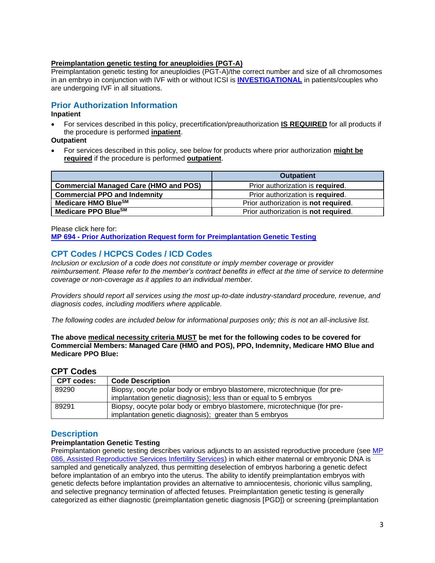#### **Preimplantation genetic testing for aneuploidies (PGT-A)**

Preimplantation genetic testing for aneuploidies (PGT-A)/the correct number and size of all chromosomes in an embryo in conjunction with IVF with or without ICSI is **[INVESTIGATIONAL](https://www.bluecrossma.org/medical-policies/sites/g/files/csphws2091/files/acquiadam-assets/Definition%20of%20Med%20Nec%20Inv%20Not%20Med%20Nec%20prn.pdf)** in patients/couples who are undergoing IVF in all situations.

# <span id="page-2-2"></span>**Prior Authorization Information**

### **Inpatient**

• For services described in this policy, precertification/preauthorization **IS REQUIRED** for all products if the procedure is performed **inpatient**.

**Outpatient**

• For services described in this policy, see below for products where prior authorization **might be required** if the procedure is performed **outpatient**.

|                                              | <b>Outpatient</b>                    |
|----------------------------------------------|--------------------------------------|
| <b>Commercial Managed Care (HMO and POS)</b> | Prior authorization is required.     |
| <b>Commercial PPO and Indemnity</b>          | Prior authorization is required.     |
| Medicare HMO BlueSM                          | Prior authorization is not required. |
| Medicare PPO Blue <sup>SM</sup>              | Prior authorization is not required. |

Please click here for:

**MP 694 - [Prior Authorization Request form for](https://www.bluecrossma.org/medical-policies/sites/g/files/csphws2091/files/acquiadam-assets/694%20Assisted%20Reproductive%20Technology%20Services%20Form%20for%20Policy%20Infertility%20Diagnosis%20and%20Treatment%20prn.pdf) Preimplantation Genetic Testing**

# <span id="page-2-0"></span>**CPT Codes / HCPCS Codes / ICD Codes**

*Inclusion or exclusion of a code does not constitute or imply member coverage or provider reimbursement. Please refer to the member's contract benefits in effect at the time of service to determine coverage or non-coverage as it applies to an individual member.*

*Providers should report all services using the most up-to-date industry-standard procedure, revenue, and diagnosis codes, including modifiers where applicable.*

*The following codes are included below for informational purposes only; this is not an all-inclusive list.*

**The above medical necessity criteria MUST be met for the following codes to be covered for Commercial Members: Managed Care (HMO and POS), PPO, Indemnity, Medicare HMO Blue and Medicare PPO Blue:**

### **CPT Codes**

| <b>CPT codes:</b> | <b>Code Description</b>                                                  |
|-------------------|--------------------------------------------------------------------------|
| 89290             | Biopsy, oocyte polar body or embryo blastomere, microtechnique (for pre- |
|                   | implantation genetic diagnosis); less than or equal to 5 embryos         |
| 89291             | Biopsy, oocyte polar body or embryo blastomere, microtechnique (for pre- |
|                   | implantation genetic diagnosis); greater than 5 embryos                  |

### <span id="page-2-1"></span>**Description**

### **Preimplantation Genetic Testing**

Preimplantation genetic testing describes various adjuncts to an assisted reproductive procedure (see [MP](https://www.bluecrossma.org/medical-policies/sites/g/files/csphws2091/files/acquiadam-assets/086%20Assisted%20Reproductive%20Services%20Infertility%20Services%20prn.pdf)  [086, Assisted Reproductive Services Infertility Services\)](https://www.bluecrossma.org/medical-policies/sites/g/files/csphws2091/files/acquiadam-assets/086%20Assisted%20Reproductive%20Services%20Infertility%20Services%20prn.pdf) in which either maternal or embryonic DNA is sampled and genetically analyzed, thus permitting deselection of embryos harboring a genetic defect before implantation of an embryo into the uterus. The ability to identify preimplantation embryos with genetic defects before implantation provides an alternative to amniocentesis, chorionic villus sampling, and selective pregnancy termination of affected fetuses. Preimplantation genetic testing is generally categorized as either diagnostic (preimplantation genetic diagnosis [PGD]) or screening (preimplantation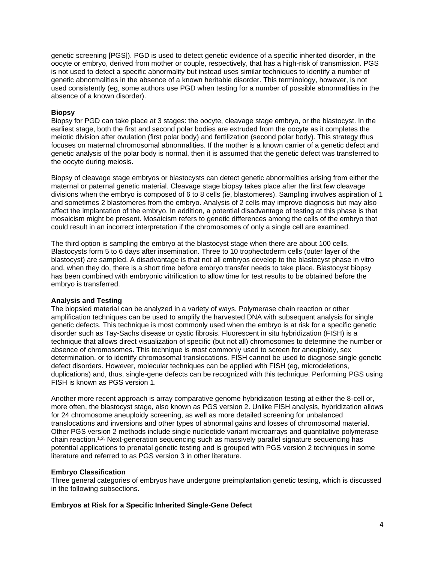genetic screening [PGS]). PGD is used to detect genetic evidence of a specific inherited disorder, in the oocyte or embryo, derived from mother or couple, respectively, that has a high-risk of transmission. PGS is not used to detect a specific abnormality but instead uses similar techniques to identify a number of genetic abnormalities in the absence of a known heritable disorder. This terminology, however, is not used consistently (eg, some authors use PGD when testing for a number of possible abnormalities in the absence of a known disorder).

#### **Biopsy**

Biopsy for PGD can take place at 3 stages: the oocyte, cleavage stage embryo, or the blastocyst. In the earliest stage, both the first and second polar bodies are extruded from the oocyte as it completes the meiotic division after ovulation (first polar body) and fertilization (second polar body). This strategy thus focuses on maternal chromosomal abnormalities. If the mother is a known carrier of a genetic defect and genetic analysis of the polar body is normal, then it is assumed that the genetic defect was transferred to the oocyte during meiosis.

Biopsy of cleavage stage embryos or blastocysts can detect genetic abnormalities arising from either the maternal or paternal genetic material. Cleavage stage biopsy takes place after the first few cleavage divisions when the embryo is composed of 6 to 8 cells (ie, blastomeres). Sampling involves aspiration of 1 and sometimes 2 blastomeres from the embryo. Analysis of 2 cells may improve diagnosis but may also affect the implantation of the embryo. In addition, a potential disadvantage of testing at this phase is that mosaicism might be present. Mosaicism refers to genetic differences among the cells of the embryo that could result in an incorrect interpretation if the chromosomes of only a single cell are examined.

The third option is sampling the embryo at the blastocyst stage when there are about 100 cells. Blastocysts form 5 to 6 days after insemination. Three to 10 trophectoderm cells (outer layer of the blastocyst) are sampled. A disadvantage is that not all embryos develop to the blastocyst phase in vitro and, when they do, there is a short time before embryo transfer needs to take place. Blastocyst biopsy has been combined with embryonic vitrification to allow time for test results to be obtained before the embryo is transferred.

#### **Analysis and Testing**

The biopsied material can be analyzed in a variety of ways. Polymerase chain reaction or other amplification techniques can be used to amplify the harvested DNA with subsequent analysis for single genetic defects. This technique is most commonly used when the embryo is at risk for a specific genetic disorder such as Tay-Sachs disease or cystic fibrosis. Fluorescent in situ hybridization (FISH) is a technique that allows direct visualization of specific (but not all) chromosomes to determine the number or absence of chromosomes. This technique is most commonly used to screen for aneuploidy, sex determination, or to identify chromosomal translocations. FISH cannot be used to diagnose single genetic defect disorders. However, molecular techniques can be applied with FISH (eg, microdeletions, duplications) and, thus, single-gene defects can be recognized with this technique. Performing PGS using FISH is known as PGS version 1.

Another more recent approach is array comparative genome hybridization testing at either the 8-cell or, more often, the blastocyst stage, also known as PGS version 2. Unlike FISH analysis, hybridization allows for 24 chromosome aneuploidy screening, as well as more detailed screening for unbalanced translocations and inversions and other types of abnormal gains and losses of chromosomal material. Other PGS version 2 methods include single nucleotide variant microarrays and quantitative polymerase chain reaction.<sup>[1,2,](https://www.evidencepositioningsystem.com/_w_64a9e1c49f0ec6581dc9decb87de74166b45234679dee2aa/BCBSA/html/_blank)</sup> Next-generation sequencing such as massively parallel signature sequencing has potential applications to prenatal genetic testing and is grouped with PGS version 2 techniques in some literature and referred to as PGS version 3 in other literature.

#### **Embryo Classification**

Three general categories of embryos have undergone preimplantation genetic testing, which is discussed in the following subsections.

#### **Embryos at Risk for a Specific Inherited Single-Gene Defect**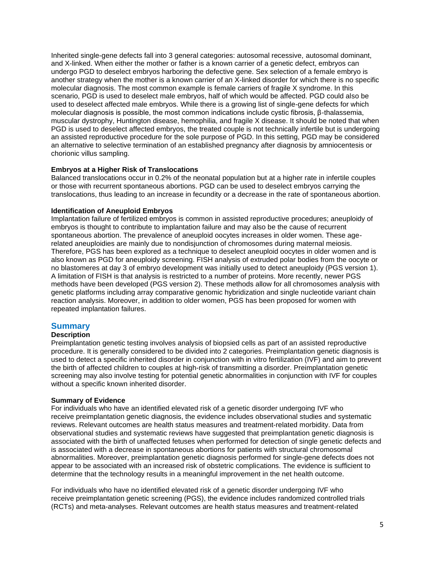Inherited single-gene defects fall into 3 general categories: autosomal recessive, autosomal dominant, and X-linked. When either the mother or father is a known carrier of a genetic defect, embryos can undergo PGD to deselect embryos harboring the defective gene. Sex selection of a female embryo is another strategy when the mother is a known carrier of an X-linked disorder for which there is no specific molecular diagnosis. The most common example is female carriers of fragile X syndrome. In this scenario, PGD is used to deselect male embryos, half of which would be affected. PGD could also be used to deselect affected male embryos. While there is a growing list of single-gene defects for which molecular diagnosis is possible, the most common indications include cystic fibrosis, β-thalassemia, muscular dystrophy, Huntington disease, hemophilia, and fragile X disease. It should be noted that when PGD is used to deselect affected embryos, the treated couple is not technically infertile but is undergoing an assisted reproductive procedure for the sole purpose of PGD. In this setting, PGD may be considered an alternative to selective termination of an established pregnancy after diagnosis by amniocentesis or chorionic villus sampling.

#### **Embryos at a Higher Risk of Translocations**

Balanced translocations occur in 0.2% of the neonatal population but at a higher rate in infertile couples or those with recurrent spontaneous abortions. PGD can be used to deselect embryos carrying the translocations, thus leading to an increase in fecundity or a decrease in the rate of spontaneous abortion.

#### **Identification of Aneuploid Embryos**

Implantation failure of fertilized embryos is common in assisted reproductive procedures; aneuploidy of embryos is thought to contribute to implantation failure and may also be the cause of recurrent spontaneous abortion. The prevalence of aneuploid oocytes increases in older women. These agerelated aneuploidies are mainly due to nondisjunction of chromosomes during maternal meiosis. Therefore, PGS has been explored as a technique to deselect aneuploid oocytes in older women and is also known as PGD for aneuploidy screening. FISH analysis of extruded polar bodies from the oocyte or no blastomeres at day 3 of embryo development was initially used to detect aneuploidy (PGS version 1). A limitation of FISH is that analysis is restricted to a number of proteins. More recently, newer PGS methods have been developed (PGS version 2). These methods allow for all chromosomes analysis with genetic platforms including array comparative genomic hybridization and single nucleotide variant chain reaction analysis. Moreover, in addition to older women, PGS has been proposed for women with repeated implantation failures.

### **Summary**

#### **Description**

Preimplantation genetic testing involves analysis of biopsied cells as part of an assisted reproductive procedure. It is generally considered to be divided into 2 categories. Preimplantation genetic diagnosis is used to detect a specific inherited disorder in conjunction with in vitro fertilization (IVF) and aim to prevent the birth of affected children to couples at high-risk of transmitting a disorder. Preimplantation genetic screening may also involve testing for potential genetic abnormalities in conjunction with IVF for couples without a specific known inherited disorder.

#### **Summary of Evidence**

For individuals who have an identified elevated risk of a genetic disorder undergoing IVF who receive preimplantation genetic diagnosis, the evidence includes observational studies and systematic reviews. Relevant outcomes are health status measures and treatment-related morbidity. Data from observational studies and systematic reviews have suggested that preimplantation genetic diagnosis is associated with the birth of unaffected fetuses when performed for detection of single genetic defects and is associated with a decrease in spontaneous abortions for patients with structural chromosomal abnormalities. Moreover, preimplantation genetic diagnosis performed for single-gene defects does not appear to be associated with an increased risk of obstetric complications. The evidence is sufficient to determine that the technology results in a meaningful improvement in the net health outcome.

For individuals who have no identified elevated risk of a genetic disorder undergoing IVF who receive preimplantation genetic screening (PGS), the evidence includes randomized controlled trials (RCTs) and meta-analyses. Relevant outcomes are health status measures and treatment-related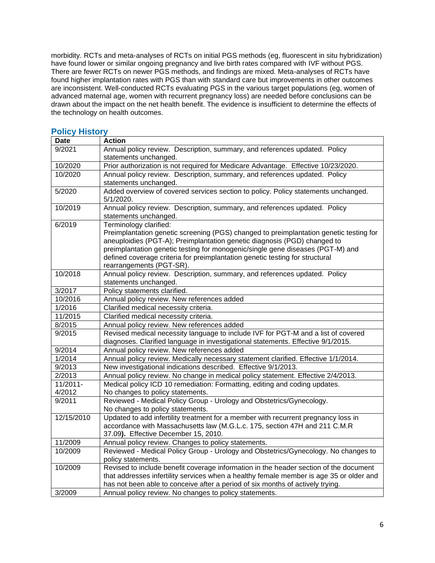morbidity. RCTs and meta-analyses of RCTs on initial PGS methods (eg, fluorescent in situ hybridization) have found lower or similar ongoing pregnancy and live birth rates compared with IVF without PGS. There are fewer RCTs on newer PGS methods, and findings are mixed. Meta-analyses of RCTs have found higher implantation rates with PGS than with standard care but improvements in other outcomes are inconsistent. Well-conducted RCTs evaluating PGS in the various target populations (eg, women of advanced maternal age, women with recurrent pregnancy loss) are needed before conclusions can be drawn about the impact on the net health benefit. The evidence is insufficient to determine the effects of the technology on health outcomes.

#### **Date Action** 9/2021 Annual policy review. Description, summary, and references updated. Policy statements unchanged. 10/2020 Prior authorization is not required for Medicare Advantage. Effective 10/23/2020. 10/2020 Annual policy review. Description, summary, and references updated. Policy statements unchanged. 5/2020 Added overview of covered services section to policy. Policy statements unchanged. 5/1/2020. 10/2019 Annual policy review. Description, summary, and references updated. Policy statements unchanged. 6/2019 Terminology clarified: Preimplantation genetic screening (PGS) changed to preimplantation genetic testing for aneuploidies (PGT-A); Preimplantation genetic diagnosis (PGD) changed to preimplantation genetic testing for monogenic/single gene diseases (PGT-M) and defined coverage criteria for preimplantation genetic testing for structural rearrangements (PGT-SR). 10/2018 Annual policy review. Description, summary, and references updated. Policy statements unchanged. 3/2017 Policy statements clarified. 10/2016 Annual policy review. New references added 1/2016 Clarified medical necessity criteria. 11/2015 Clarified medical necessity criteria. 8/2015 Annual policy review. New references added 9/2015 Revised medical necessity language to include IVF for PGT-M and a list of covered diagnoses. Clarified language in investigational statements. Effective 9/1/2015. 9/2014 Annual policy review. New references added 1/2014 Annual policy review. Medically necessary statement clarified. Effective 1/1/2014. 9/2013 New investigational indications described. Effective 9/1/2013. 2/2013 Annual policy review. No change in medical policy statement. Effective 2/4/2013. 11/2011- 4/2012 Medical policy ICD 10 remediation: Formatting, editing and coding updates. No changes to policy statements. 9/2011 Reviewed - Medical Policy Group - Urology and Obstetrics/Gynecology. No changes to policy statements. 12/15/2010 | Updated to add infertility treatment for a member with recurrent pregnancy loss in accordance with Massachusetts law (M.G.L.c. 175, section 47H and 211 C.M.R 37.09**).** Effective December 15, 2010. 11/2009 Annual policy review. Changes to policy statements. 10/2009 Reviewed - Medical Policy Group - Urology and Obstetrics/Gynecology. No changes to policy statements. 10/2009 Revised to include benefit coverage information in the header section of the document that addresses infertility services when a healthy female member is age 35 or older and has not been able to conceive after a period of six months of actively trying. 3/2009 Annual policy review. No changes to policy statements.

## <span id="page-5-0"></span>**Policy History**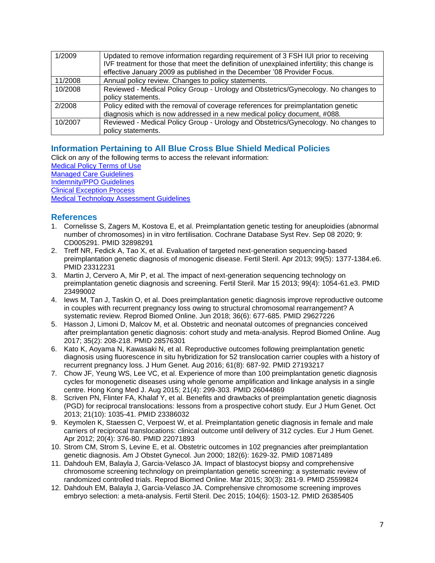| 1/2009  | Updated to remove information regarding requirement of 3 FSH IUI prior to receiving<br>IVF treatment for those that meet the definition of unexplained infertility; this change is<br>effective January 2009 as published in the December '08 Provider Focus. |
|---------|---------------------------------------------------------------------------------------------------------------------------------------------------------------------------------------------------------------------------------------------------------------|
| 11/2008 | Annual policy review. Changes to policy statements.                                                                                                                                                                                                           |
| 10/2008 | Reviewed - Medical Policy Group - Urology and Obstetrics/Gynecology. No changes to<br>policy statements.                                                                                                                                                      |
| 2/2008  | Policy edited with the removal of coverage references for preimplantation genetic<br>diagnosis which is now addressed in a new medical policy document, #088.                                                                                                 |
| 10/2007 | Reviewed - Medical Policy Group - Urology and Obstetrics/Gynecology. No changes to<br>policy statements.                                                                                                                                                      |

# <span id="page-6-0"></span>**[Information Pertaining to All Blue Cross Blue Shield Medical Policies](#page-6-0)**

Click on any of the following terms to access the relevant information:

[Medical Policy Terms of Use](http://www.bluecrossma.org/medical-policies/sites/g/files/csphws2091/files/acquiadam-assets/Medical_Policy_Terms_of_Use_prn.pdf)

[Managed Care Guidelines](http://www.bluecrossma.org/medical-policies/sites/g/files/csphws2091/files/acquiadam-assets/Managed_Care_Guidelines_prn.pdf) [Indemnity/PPO Guidelines](http://www.bluecrossma.org/medical-policies/sites/g/files/csphws2091/files/acquiadam-assets/Indemnity_and_PPO_Guidelines_prn.pdf)

[Clinical Exception Process](http://www.bluecrossma.org/medical-policies/sites/g/files/csphws2091/files/acquiadam-assets/Clinical_Exception_Process_prn.pdf)

<span id="page-6-1"></span>[Medical Technology Assessment Guidelines](http://www.bluecrossma.org/medical-policies/sites/g/files/csphws2091/files/acquiadam-assets/Medical_Technology_Assessment_Guidelines_prn.pdf)

# **References**

- 1. Cornelisse S, Zagers M, Kostova E, et al. Preimplantation genetic testing for aneuploidies (abnormal number of chromosomes) in in vitro fertilisation. Cochrane Database Syst Rev. Sep 08 2020; 9: CD005291. PMID 32898291
- 2. Treff NR, Fedick A, Tao X, et al. Evaluation of targeted next-generation sequencing-based preimplantation genetic diagnosis of monogenic disease. Fertil Steril. Apr 2013; 99(5): 1377-1384.e6. PMID 23312231
- 3. Martin J, Cervero A, Mir P, et al. The impact of next-generation sequencing technology on preimplantation genetic diagnosis and screening. Fertil Steril. Mar 15 2013; 99(4): 1054-61.e3. PMID 23499002
- 4. Iews M, Tan J, Taskin O, et al. Does preimplantation genetic diagnosis improve reproductive outcome in couples with recurrent pregnancy loss owing to structural chromosomal rearrangement? A systematic review. Reprod Biomed Online. Jun 2018; 36(6): 677-685. PMID 29627226
- 5. Hasson J, Limoni D, Malcov M, et al. Obstetric and neonatal outcomes of pregnancies conceived after preimplantation genetic diagnosis: cohort study and meta-analysis. Reprod Biomed Online. Aug 2017; 35(2): 208-218. PMID 28576301
- 6. Kato K, Aoyama N, Kawasaki N, et al. Reproductive outcomes following preimplantation genetic diagnosis using fluorescence in situ hybridization for 52 translocation carrier couples with a history of recurrent pregnancy loss. J Hum Genet. Aug 2016; 61(8): 687-92. PMID 27193217
- 7. Chow JF, Yeung WS, Lee VC, et al. Experience of more than 100 preimplantation genetic diagnosis cycles for monogenetic diseases using whole genome amplification and linkage analysis in a single centre. Hong Kong Med J. Aug 2015; 21(4): 299-303. PMID 26044869
- 8. Scriven PN, Flinter FA, Khalaf Y, et al. Benefits and drawbacks of preimplantation genetic diagnosis (PGD) for reciprocal translocations: lessons from a prospective cohort study. Eur J Hum Genet. Oct 2013; 21(10): 1035-41. PMID 23386032
- 9. Keymolen K, Staessen C, Verpoest W, et al. Preimplantation genetic diagnosis in female and male carriers of reciprocal translocations: clinical outcome until delivery of 312 cycles. Eur J Hum Genet. Apr 2012; 20(4): 376-80. PMID 22071893
- 10. Strom CM, Strom S, Levine E, et al. Obstetric outcomes in 102 pregnancies after preimplantation genetic diagnosis. Am J Obstet Gynecol. Jun 2000; 182(6): 1629-32. PMID 10871489
- 11. Dahdouh EM, Balayla J, Garcia-Velasco JA. Impact of blastocyst biopsy and comprehensive chromosome screening technology on preimplantation genetic screening: a systematic review of randomized controlled trials. Reprod Biomed Online. Mar 2015; 30(3): 281-9. PMID 25599824
- 12. Dahdouh EM, Balayla J, Garcia-Velasco JA. Comprehensive chromosome screening improves embryo selection: a meta-analysis. Fertil Steril. Dec 2015; 104(6): 1503-12. PMID 26385405